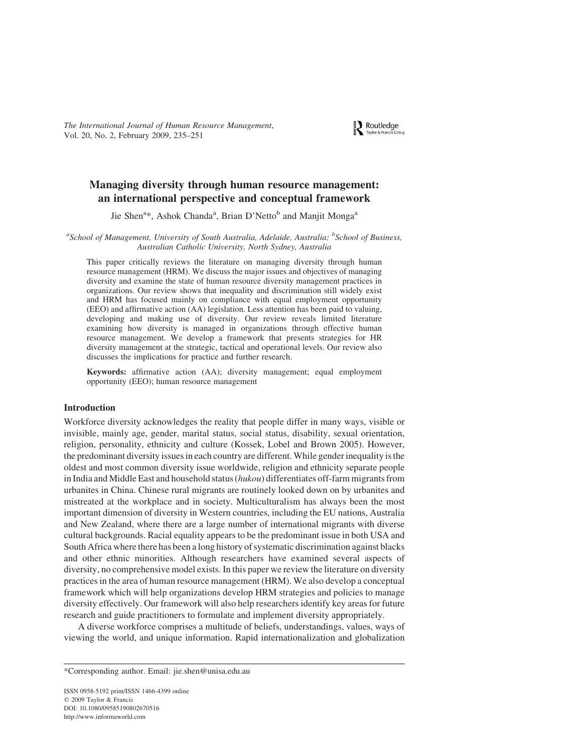The International Journal of Human Resource Management, Vol. 20, No. 2, February 2009, 235–251



# Managing diversity through human resource management: an international perspective and conceptual framework

Jie Shen<sup>a\*</sup>, Ashok Chanda<sup>a</sup>, Brian D'Netto<sup>b</sup> and Manjit Monga<sup>a</sup>

<sup>a</sup>School of Management, University of South Australia, Adelaide, Australia; <sup>b</sup>School of Business, Australian Catholic University, North Sydney, Australia

This paper critically reviews the literature on managing diversity through human resource management (HRM). We discuss the major issues and objectives of managing diversity and examine the state of human resource diversity management practices in organizations. Our review shows that inequality and discrimination still widely exist and HRM has focused mainly on compliance with equal employment opportunity (EEO) and affirmative action (AA) legislation. Less attention has been paid to valuing, developing and making use of diversity. Our review reveals limited literature examining how diversity is managed in organizations through effective human resource management. We develop a framework that presents strategies for HR diversity management at the strategic, tactical and operational levels. Our review also discusses the implications for practice and further research.

Keywords: affirmative action (AA); diversity management; equal employment opportunity (EEO); human resource management

# Introduction

Workforce diversity acknowledges the reality that people differ in many ways, visible or invisible, mainly age, gender, marital status, social status, disability, sexual orientation, religion, personality, ethnicity and culture (Kossek, Lobel and Brown 2005). However, the predominant diversity issues in each country are different. While gender inequality is the oldest and most common diversity issue worldwide, religion and ethnicity separate people in India and Middle East and household status ( $hukou$ ) differentiates off-farm migrants from urbanites in China. Chinese rural migrants are routinely looked down on by urbanites and mistreated at the workplace and in society. Multiculturalism has always been the most important dimension of diversity in Western countries, including the EU nations, Australia and New Zealand, where there are a large number of international migrants with diverse cultural backgrounds. Racial equality appears to be the predominant issue in both USA and South Africa where there has been a long history of systematic discrimination against blacks and other ethnic minorities. Although researchers have examined several aspects of diversity, no comprehensive model exists. In this paper we review the literature on diversity practices in the area of human resource management (HRM). We also develop a conceptual framework which will help organizations develop HRM strategies and policies to manage diversity effectively. Our framework will also help researchers identify key areas for future research and guide practitioners to formulate and implement diversity appropriately.

A diverse workforce comprises a multitude of beliefs, understandings, values, ways of viewing the world, and unique information. Rapid internationalization and globalization

<sup>\*</sup>Corresponding author. Email: jie.shen@unisa.edu.au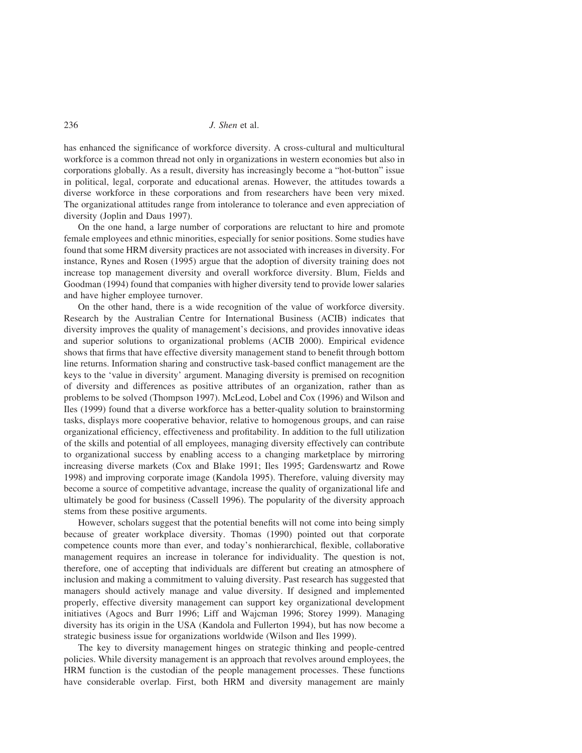has enhanced the significance of workforce diversity. A cross-cultural and multicultural workforce is a common thread not only in organizations in western economies but also in corporations globally. As a result, diversity has increasingly become a "hot-button" issue in political, legal, corporate and educational arenas. However, the attitudes towards a diverse workforce in these corporations and from researchers have been very mixed. The organizational attitudes range from intolerance to tolerance and even appreciation of diversity (Joplin and Daus 1997).

On the one hand, a large number of corporations are reluctant to hire and promote female employees and ethnic minorities, especially for senior positions. Some studies have found that some HRM diversity practices are not associated with increases in diversity. For instance, Rynes and Rosen (1995) argue that the adoption of diversity training does not increase top management diversity and overall workforce diversity. Blum, Fields and Goodman (1994) found that companies with higher diversity tend to provide lower salaries and have higher employee turnover.

On the other hand, there is a wide recognition of the value of workforce diversity. Research by the Australian Centre for International Business (ACIB) indicates that diversity improves the quality of management's decisions, and provides innovative ideas and superior solutions to organizational problems (ACIB 2000). Empirical evidence shows that firms that have effective diversity management stand to benefit through bottom line returns. Information sharing and constructive task-based conflict management are the keys to the 'value in diversity' argument. Managing diversity is premised on recognition of diversity and differences as positive attributes of an organization, rather than as problems to be solved (Thompson 1997). McLeod, Lobel and Cox (1996) and Wilson and Iles (1999) found that a diverse workforce has a better-quality solution to brainstorming tasks, displays more cooperative behavior, relative to homogenous groups, and can raise organizational efficiency, effectiveness and profitability. In addition to the full utilization of the skills and potential of all employees, managing diversity effectively can contribute to organizational success by enabling access to a changing marketplace by mirroring increasing diverse markets (Cox and Blake 1991; Iles 1995; Gardenswartz and Rowe 1998) and improving corporate image (Kandola 1995). Therefore, valuing diversity may become a source of competitive advantage, increase the quality of organizational life and ultimately be good for business (Cassell 1996). The popularity of the diversity approach stems from these positive arguments.

However, scholars suggest that the potential benefits will not come into being simply because of greater workplace diversity. Thomas (1990) pointed out that corporate competence counts more than ever, and today's nonhierarchical, flexible, collaborative management requires an increase in tolerance for individuality. The question is not, therefore, one of accepting that individuals are different but creating an atmosphere of inclusion and making a commitment to valuing diversity. Past research has suggested that managers should actively manage and value diversity. If designed and implemented properly, effective diversity management can support key organizational development initiatives (Agocs and Burr 1996; Liff and Wajcman 1996; Storey 1999). Managing diversity has its origin in the USA (Kandola and Fullerton 1994), but has now become a strategic business issue for organizations worldwide (Wilson and Iles 1999).

The key to diversity management hinges on strategic thinking and people-centred policies. While diversity management is an approach that revolves around employees, the HRM function is the custodian of the people management processes. These functions have considerable overlap. First, both HRM and diversity management are mainly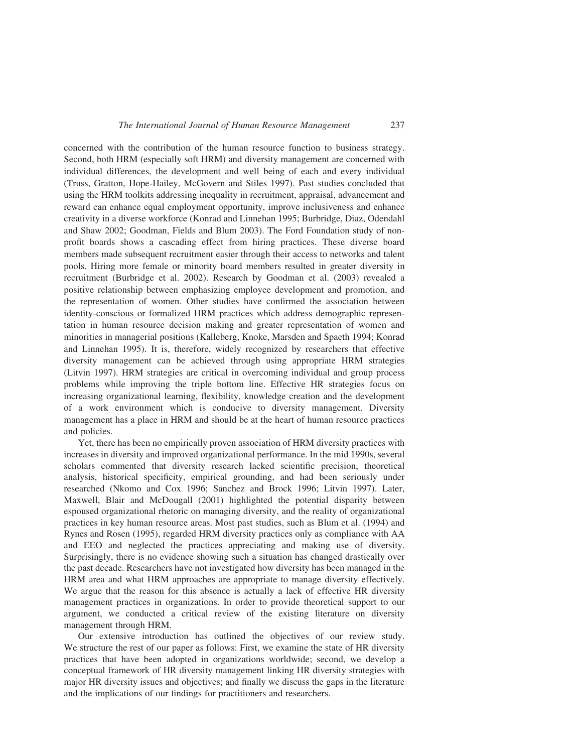concerned with the contribution of the human resource function to business strategy. Second, both HRM (especially soft HRM) and diversity management are concerned with individual differences, the development and well being of each and every individual (Truss, Gratton, Hope-Hailey, McGovern and Stiles 1997). Past studies concluded that using the HRM toolkits addressing inequality in recruitment, appraisal, advancement and reward can enhance equal employment opportunity, improve inclusiveness and enhance creativity in a diverse workforce (Konrad and Linnehan 1995; Burbridge, Diaz, Odendahl and Shaw 2002; Goodman, Fields and Blum 2003). The Ford Foundation study of nonprofit boards shows a cascading effect from hiring practices. These diverse board members made subsequent recruitment easier through their access to networks and talent pools. Hiring more female or minority board members resulted in greater diversity in recruitment (Burbridge et al. 2002). Research by Goodman et al. (2003) revealed a positive relationship between emphasizing employee development and promotion, and the representation of women. Other studies have confirmed the association between identity-conscious or formalized HRM practices which address demographic representation in human resource decision making and greater representation of women and minorities in managerial positions (Kalleberg, Knoke, Marsden and Spaeth 1994; Konrad and Linnehan 1995). It is, therefore, widely recognized by researchers that effective diversity management can be achieved through using appropriate HRM strategies (Litvin 1997). HRM strategies are critical in overcoming individual and group process problems while improving the triple bottom line. Effective HR strategies focus on increasing organizational learning, flexibility, knowledge creation and the development of a work environment which is conducive to diversity management. Diversity management has a place in HRM and should be at the heart of human resource practices and policies.

Yet, there has been no empirically proven association of HRM diversity practices with increases in diversity and improved organizational performance. In the mid 1990s, several scholars commented that diversity research lacked scientific precision, theoretical analysis, historical specificity, empirical grounding, and had been seriously under researched (Nkomo and Cox 1996; Sanchez and Brock 1996; Litvin 1997). Later, Maxwell, Blair and McDougall (2001) highlighted the potential disparity between espoused organizational rhetoric on managing diversity, and the reality of organizational practices in key human resource areas. Most past studies, such as Blum et al. (1994) and Rynes and Rosen (1995), regarded HRM diversity practices only as compliance with AA and EEO and neglected the practices appreciating and making use of diversity. Surprisingly, there is no evidence showing such a situation has changed drastically over the past decade. Researchers have not investigated how diversity has been managed in the HRM area and what HRM approaches are appropriate to manage diversity effectively. We argue that the reason for this absence is actually a lack of effective HR diversity management practices in organizations. In order to provide theoretical support to our argument, we conducted a critical review of the existing literature on diversity management through HRM.

Our extensive introduction has outlined the objectives of our review study. We structure the rest of our paper as follows: First, we examine the state of HR diversity practices that have been adopted in organizations worldwide; second, we develop a conceptual framework of HR diversity management linking HR diversity strategies with major HR diversity issues and objectives; and finally we discuss the gaps in the literature and the implications of our findings for practitioners and researchers.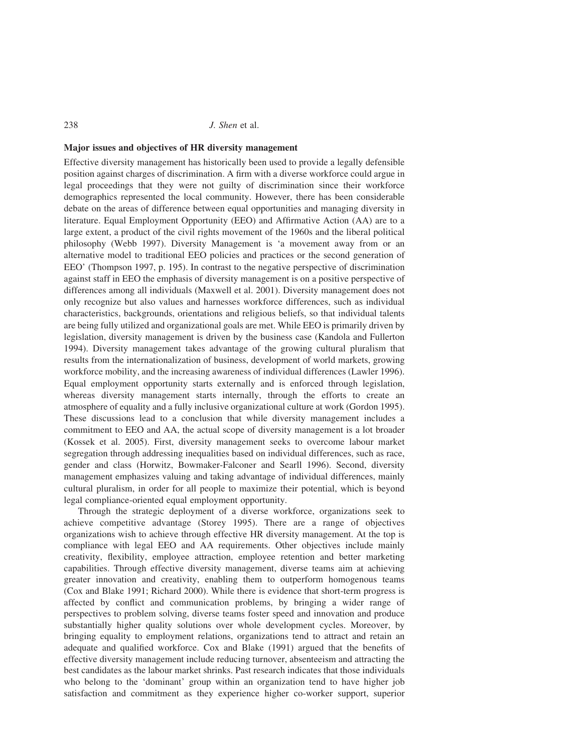#### Major issues and objectives of HR diversity management

Effective diversity management has historically been used to provide a legally defensible position against charges of discrimination. A firm with a diverse workforce could argue in legal proceedings that they were not guilty of discrimination since their workforce demographics represented the local community. However, there has been considerable debate on the areas of difference between equal opportunities and managing diversity in literature. Equal Employment Opportunity (EEO) and Affirmative Action (AA) are to a large extent, a product of the civil rights movement of the 1960s and the liberal political philosophy (Webb 1997). Diversity Management is 'a movement away from or an alternative model to traditional EEO policies and practices or the second generation of EEO' (Thompson 1997, p. 195). In contrast to the negative perspective of discrimination against staff in EEO the emphasis of diversity management is on a positive perspective of differences among all individuals (Maxwell et al. 2001). Diversity management does not only recognize but also values and harnesses workforce differences, such as individual characteristics, backgrounds, orientations and religious beliefs, so that individual talents are being fully utilized and organizational goals are met. While EEO is primarily driven by legislation, diversity management is driven by the business case (Kandola and Fullerton 1994). Diversity management takes advantage of the growing cultural pluralism that results from the internationalization of business, development of world markets, growing workforce mobility, and the increasing awareness of individual differences (Lawler 1996). Equal employment opportunity starts externally and is enforced through legislation, whereas diversity management starts internally, through the efforts to create an atmosphere of equality and a fully inclusive organizational culture at work (Gordon 1995). These discussions lead to a conclusion that while diversity management includes a commitment to EEO and AA, the actual scope of diversity management is a lot broader (Kossek et al. 2005). First, diversity management seeks to overcome labour market segregation through addressing inequalities based on individual differences, such as race, gender and class (Horwitz, Bowmaker-Falconer and Searll 1996). Second, diversity management emphasizes valuing and taking advantage of individual differences, mainly cultural pluralism, in order for all people to maximize their potential, which is beyond legal compliance-oriented equal employment opportunity.

Through the strategic deployment of a diverse workforce, organizations seek to achieve competitive advantage (Storey 1995). There are a range of objectives organizations wish to achieve through effective HR diversity management. At the top is compliance with legal EEO and AA requirements. Other objectives include mainly creativity, flexibility, employee attraction, employee retention and better marketing capabilities. Through effective diversity management, diverse teams aim at achieving greater innovation and creativity, enabling them to outperform homogenous teams (Cox and Blake 1991; Richard 2000). While there is evidence that short-term progress is affected by conflict and communication problems, by bringing a wider range of perspectives to problem solving, diverse teams foster speed and innovation and produce substantially higher quality solutions over whole development cycles. Moreover, by bringing equality to employment relations, organizations tend to attract and retain an adequate and qualified workforce. Cox and Blake (1991) argued that the benefits of effective diversity management include reducing turnover, absenteeism and attracting the best candidates as the labour market shrinks. Past research indicates that those individuals who belong to the 'dominant' group within an organization tend to have higher job satisfaction and commitment as they experience higher co-worker support, superior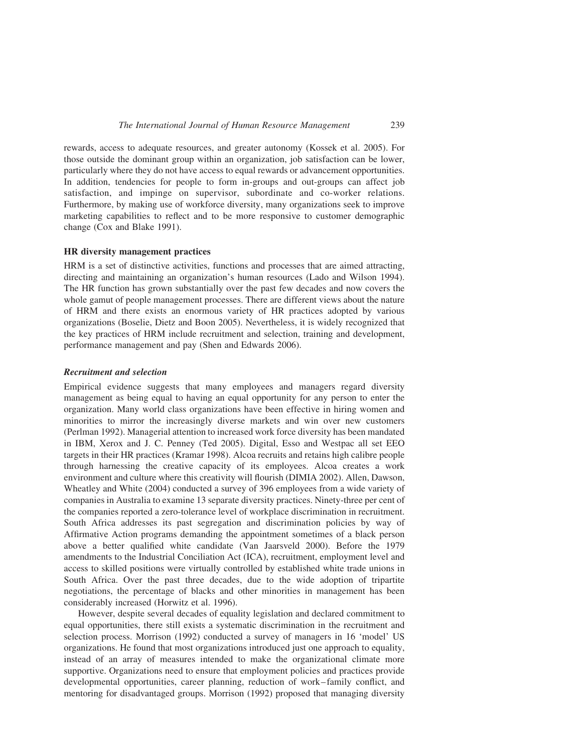rewards, access to adequate resources, and greater autonomy (Kossek et al. 2005). For those outside the dominant group within an organization, job satisfaction can be lower, particularly where they do not have access to equal rewards or advancement opportunities. In addition, tendencies for people to form in-groups and out-groups can affect job satisfaction, and impinge on supervisor, subordinate and co-worker relations. Furthermore, by making use of workforce diversity, many organizations seek to improve marketing capabilities to reflect and to be more responsive to customer demographic change (Cox and Blake 1991).

# HR diversity management practices

HRM is a set of distinctive activities, functions and processes that are aimed attracting, directing and maintaining an organization's human resources (Lado and Wilson 1994). The HR function has grown substantially over the past few decades and now covers the whole gamut of people management processes. There are different views about the nature of HRM and there exists an enormous variety of HR practices adopted by various organizations (Boselie, Dietz and Boon 2005). Nevertheless, it is widely recognized that the key practices of HRM include recruitment and selection, training and development, performance management and pay (Shen and Edwards 2006).

# Recruitment and selection

Empirical evidence suggests that many employees and managers regard diversity management as being equal to having an equal opportunity for any person to enter the organization. Many world class organizations have been effective in hiring women and minorities to mirror the increasingly diverse markets and win over new customers (Perlman 1992). Managerial attention to increased work force diversity has been mandated in IBM, Xerox and J. C. Penney (Ted 2005). Digital, Esso and Westpac all set EEO targets in their HR practices (Kramar 1998). Alcoa recruits and retains high calibre people through harnessing the creative capacity of its employees. Alcoa creates a work environment and culture where this creativity will flourish (DIMIA 2002). Allen, Dawson, Wheatley and White (2004) conducted a survey of 396 employees from a wide variety of companies in Australia to examine 13 separate diversity practices. Ninety-three per cent of the companies reported a zero-tolerance level of workplace discrimination in recruitment. South Africa addresses its past segregation and discrimination policies by way of Affirmative Action programs demanding the appointment sometimes of a black person above a better qualified white candidate (Van Jaarsveld 2000). Before the 1979 amendments to the Industrial Conciliation Act (ICA), recruitment, employment level and access to skilled positions were virtually controlled by established white trade unions in South Africa. Over the past three decades, due to the wide adoption of tripartite negotiations, the percentage of blacks and other minorities in management has been considerably increased (Horwitz et al. 1996).

However, despite several decades of equality legislation and declared commitment to equal opportunities, there still exists a systematic discrimination in the recruitment and selection process. Morrison (1992) conducted a survey of managers in 16 'model' US organizations. He found that most organizations introduced just one approach to equality, instead of an array of measures intended to make the organizational climate more supportive. Organizations need to ensure that employment policies and practices provide developmental opportunities, career planning, reduction of work–family conflict, and mentoring for disadvantaged groups. Morrison (1992) proposed that managing diversity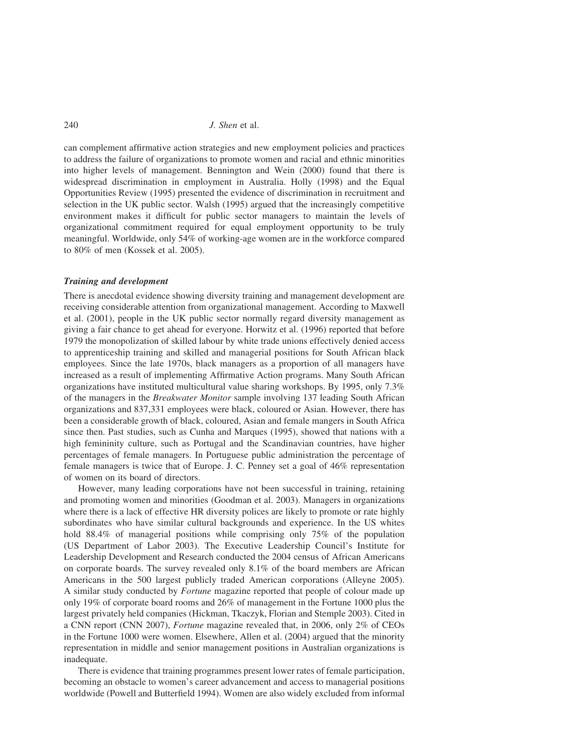can complement affirmative action strategies and new employment policies and practices to address the failure of organizations to promote women and racial and ethnic minorities into higher levels of management. Bennington and Wein (2000) found that there is widespread discrimination in employment in Australia. Holly (1998) and the Equal Opportunities Review (1995) presented the evidence of discrimination in recruitment and selection in the UK public sector. Walsh (1995) argued that the increasingly competitive environment makes it difficult for public sector managers to maintain the levels of organizational commitment required for equal employment opportunity to be truly meaningful. Worldwide, only 54% of working-age women are in the workforce compared to 80% of men (Kossek et al. 2005).

#### Training and development

There is anecdotal evidence showing diversity training and management development are receiving considerable attention from organizational management. According to Maxwell et al. (2001), people in the UK public sector normally regard diversity management as giving a fair chance to get ahead for everyone. Horwitz et al. (1996) reported that before 1979 the monopolization of skilled labour by white trade unions effectively denied access to apprenticeship training and skilled and managerial positions for South African black employees. Since the late 1970s, black managers as a proportion of all managers have increased as a result of implementing Affirmative Action programs. Many South African organizations have instituted multicultural value sharing workshops. By 1995, only 7.3% of the managers in the *Breakwater Monitor* sample involving 137 leading South African organizations and 837,331 employees were black, coloured or Asian. However, there has been a considerable growth of black, coloured, Asian and female mangers in South Africa since then. Past studies, such as Cunha and Marques (1995), showed that nations with a high femininity culture, such as Portugal and the Scandinavian countries, have higher percentages of female managers. In Portuguese public administration the percentage of female managers is twice that of Europe. J. C. Penney set a goal of 46% representation of women on its board of directors.

However, many leading corporations have not been successful in training, retaining and promoting women and minorities (Goodman et al. 2003). Managers in organizations where there is a lack of effective HR diversity polices are likely to promote or rate highly subordinates who have similar cultural backgrounds and experience. In the US whites hold 88.4% of managerial positions while comprising only 75% of the population (US Department of Labor 2003). The Executive Leadership Council's Institute for Leadership Development and Research conducted the 2004 census of African Americans on corporate boards. The survey revealed only 8.1% of the board members are African Americans in the 500 largest publicly traded American corporations (Alleyne 2005). A similar study conducted by Fortune magazine reported that people of colour made up only 19% of corporate board rooms and 26% of management in the Fortune 1000 plus the largest privately held companies (Hickman, Tkaczyk, Florian and Stemple 2003). Cited in a CNN report (CNN 2007), Fortune magazine revealed that, in 2006, only 2% of CEOs in the Fortune 1000 were women. Elsewhere, Allen et al. (2004) argued that the minority representation in middle and senior management positions in Australian organizations is inadequate.

There is evidence that training programmes present lower rates of female participation, becoming an obstacle to women's career advancement and access to managerial positions worldwide (Powell and Butterfield 1994). Women are also widely excluded from informal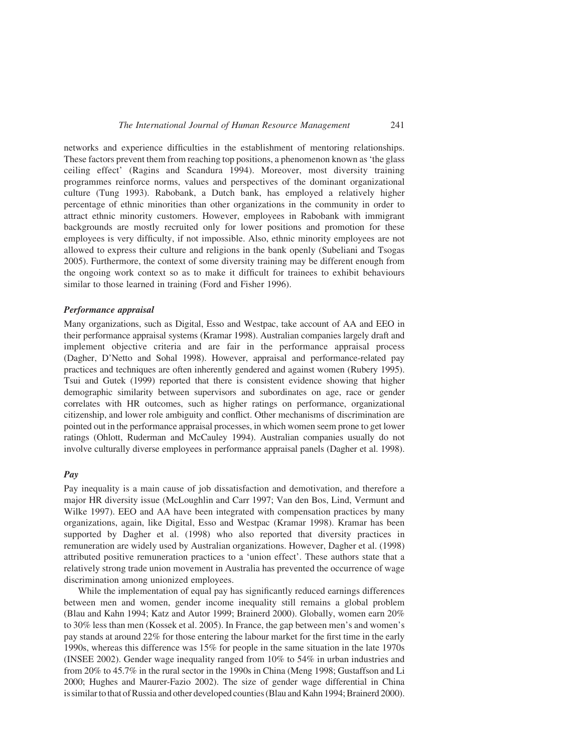networks and experience difficulties in the establishment of mentoring relationships. These factors prevent them from reaching top positions, a phenomenon known as 'the glass ceiling effect' (Ragins and Scandura 1994). Moreover, most diversity training programmes reinforce norms, values and perspectives of the dominant organizational culture (Tung 1993). Rabobank, a Dutch bank, has employed a relatively higher percentage of ethnic minorities than other organizations in the community in order to attract ethnic minority customers. However, employees in Rabobank with immigrant backgrounds are mostly recruited only for lower positions and promotion for these employees is very difficulty, if not impossible. Also, ethnic minority employees are not allowed to express their culture and religions in the bank openly (Subeliani and Tsogas 2005). Furthermore, the context of some diversity training may be different enough from the ongoing work context so as to make it difficult for trainees to exhibit behaviours similar to those learned in training (Ford and Fisher 1996).

#### Performance appraisal

Many organizations, such as Digital, Esso and Westpac, take account of AA and EEO in their performance appraisal systems (Kramar 1998). Australian companies largely draft and implement objective criteria and are fair in the performance appraisal process (Dagher, D'Netto and Sohal 1998). However, appraisal and performance-related pay practices and techniques are often inherently gendered and against women (Rubery 1995). Tsui and Gutek (1999) reported that there is consistent evidence showing that higher demographic similarity between supervisors and subordinates on age, race or gender correlates with HR outcomes, such as higher ratings on performance, organizational citizenship, and lower role ambiguity and conflict. Other mechanisms of discrimination are pointed out in the performance appraisal processes, in which women seem prone to get lower ratings (Ohlott, Ruderman and McCauley 1994). Australian companies usually do not involve culturally diverse employees in performance appraisal panels (Dagher et al. 1998).

# **Pay**

Pay inequality is a main cause of job dissatisfaction and demotivation, and therefore a major HR diversity issue (McLoughlin and Carr 1997; Van den Bos, Lind, Vermunt and Wilke 1997). EEO and AA have been integrated with compensation practices by many organizations, again, like Digital, Esso and Westpac (Kramar 1998). Kramar has been supported by Dagher et al. (1998) who also reported that diversity practices in remuneration are widely used by Australian organizations. However, Dagher et al. (1998) attributed positive remuneration practices to a 'union effect'. These authors state that a relatively strong trade union movement in Australia has prevented the occurrence of wage discrimination among unionized employees.

While the implementation of equal pay has significantly reduced earnings differences between men and women, gender income inequality still remains a global problem (Blau and Kahn 1994; Katz and Autor 1999; Brainerd 2000). Globally, women earn 20% to 30% less than men (Kossek et al. 2005). In France, the gap between men's and women's pay stands at around 22% for those entering the labour market for the first time in the early 1990s, whereas this difference was 15% for people in the same situation in the late 1970s (INSEE 2002). Gender wage inequality ranged from 10% to 54% in urban industries and from 20% to 45.7% in the rural sector in the 1990s in China (Meng 1998; Gustaffson and Li 2000; Hughes and Maurer-Fazio 2002). The size of gender wage differential in China is similar to that of Russia and other developed counties (Blau and Kahn 1994; Brainerd 2000).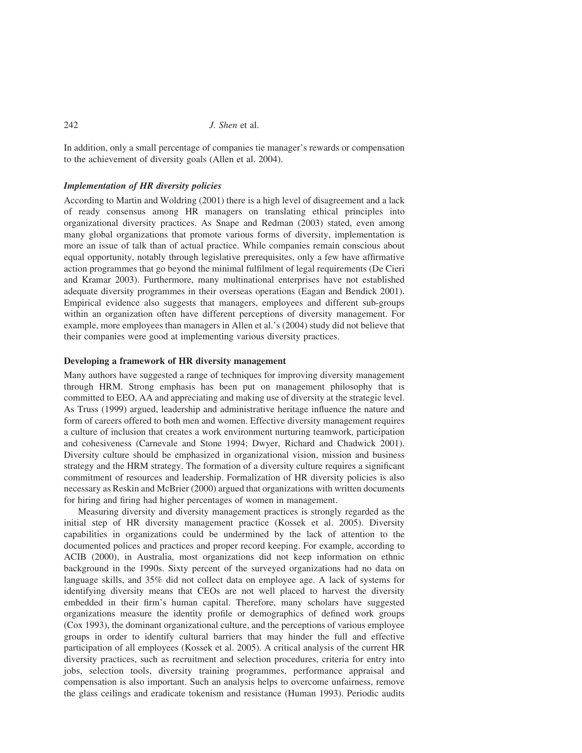In addition, only a small percentage of companies tie manager's rewards or compensation to the achievement of diversity goals (Allen et al. 2004).

#### Implementation of HR diversity policies

According to Martin and Woldring (2001) there is a high level of disagreement and a lack of ready consensus among HR managers on translating ethical principles into organizational diversity practices. As Snape and Redman (2003) stated, even among many global organizations that promote various forms of diversity, implementation is more an issue of talk than of actual practice. While companies remain conscious about equal opportunity, notably through legislative prerequisites, only a few have affirmative action programmes that go beyond the minimal fulfilment of legal requirements (De Cieri and Kramar 2003). Furthermore, many multinational enterprises have not established adequate diversity programmes in their overseas operations (Eagan and Bendick 2001). Empirical evidence also suggests that managers, employees and different sub-groups within an organization often have different perceptions of diversity management. For example, more employees than managers in Allen et al.'s (2004) study did not believe that their companies were good at implementing various diversity practices.

### Developing a framework of HR diversity management

Many authors have suggested a range of techniques for improving diversity management through HRM. Strong emphasis has been put on management philosophy that is committed to EEO, AA and appreciating and making use of diversity at the strategic level. As Truss (1999) argued, leadership and administrative heritage influence the nature and form of careers offered to both men and women. Effective diversity management requires a culture of inclusion that creates a work environment nurturing teamwork, participation and cohesiveness (Carnevale and Stone 1994; Dwyer, Richard and Chadwick 2001). Diversity culture should be emphasized in organizational vision, mission and business strategy and the HRM strategy. The formation of a diversity culture requires a significant commitment of resources and leadership. Formalization of HR diversity policies is also necessary as Reskin and McBrier (2000) argued that organizations with written documents for hiring and firing had higher percentages of women in management.

Measuring diversity and diversity management practices is strongly regarded as the initial step of HR diversity management practice (Kossek et al. 2005). Diversity capabilities in organizations could be undermined by the lack of attention to the documented polices and practices and proper record keeping. For example, according to ACIB (2000), in Australia, most organizations did not keep information on ethnic background in the 1990s. Sixty percent of the surveyed organizations had no data on language skills, and 35% did not collect data on employee age. A lack of systems for identifying diversity means that CEOs are not well placed to harvest the diversity embedded in their firm's human capital. Therefore, many scholars have suggested organizations measure the identity profile or demographics of defined work groups (Cox 1993), the dominant organizational culture, and the perceptions of various employee groups in order to identify cultural barriers that may hinder the full and effective participation of all employees (Kossek et al. 2005). A critical analysis of the current HR diversity practices, such as recruitment and selection procedures, criteria for entry into jobs, selection tools, diversity training programmes, performance appraisal and compensation is also important. Such an analysis helps to overcome unfairness, remove the glass ceilings and eradicate tokenism and resistance (Human 1993). Periodic audits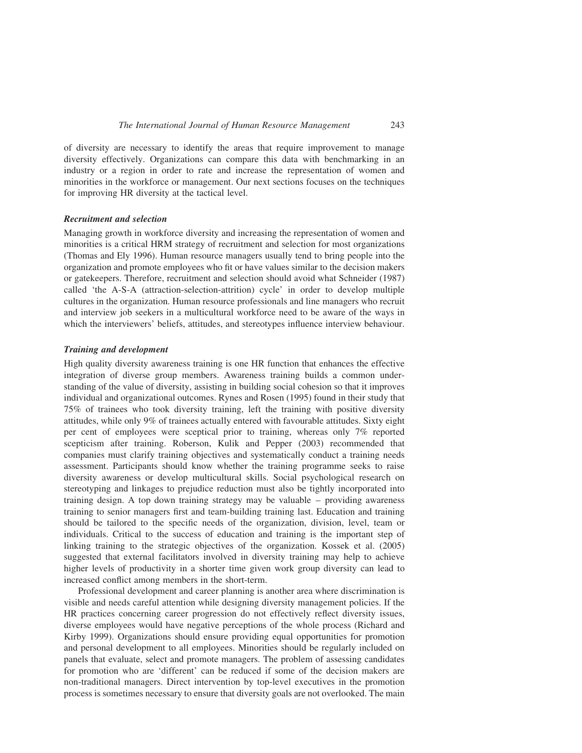of diversity are necessary to identify the areas that require improvement to manage diversity effectively. Organizations can compare this data with benchmarking in an industry or a region in order to rate and increase the representation of women and minorities in the workforce or management. Our next sections focuses on the techniques for improving HR diversity at the tactical level.

# Recruitment and selection

Managing growth in workforce diversity and increasing the representation of women and minorities is a critical HRM strategy of recruitment and selection for most organizations (Thomas and Ely 1996). Human resource managers usually tend to bring people into the organization and promote employees who fit or have values similar to the decision makers or gatekeepers. Therefore, recruitment and selection should avoid what Schneider (1987) called 'the A-S-A (attraction-selection-attrition) cycle' in order to develop multiple cultures in the organization. Human resource professionals and line managers who recruit and interview job seekers in a multicultural workforce need to be aware of the ways in which the interviewers' beliefs, attitudes, and stereotypes influence interview behaviour.

# Training and development

High quality diversity awareness training is one HR function that enhances the effective integration of diverse group members. Awareness training builds a common understanding of the value of diversity, assisting in building social cohesion so that it improves individual and organizational outcomes. Rynes and Rosen (1995) found in their study that 75% of trainees who took diversity training, left the training with positive diversity attitudes, while only 9% of trainees actually entered with favourable attitudes. Sixty eight per cent of employees were sceptical prior to training, whereas only 7% reported scepticism after training. Roberson, Kulik and Pepper (2003) recommended that companies must clarify training objectives and systematically conduct a training needs assessment. Participants should know whether the training programme seeks to raise diversity awareness or develop multicultural skills. Social psychological research on stereotyping and linkages to prejudice reduction must also be tightly incorporated into training design. A top down training strategy may be valuable – providing awareness training to senior managers first and team-building training last. Education and training should be tailored to the specific needs of the organization, division, level, team or individuals. Critical to the success of education and training is the important step of linking training to the strategic objectives of the organization. Kossek et al. (2005) suggested that external facilitators involved in diversity training may help to achieve higher levels of productivity in a shorter time given work group diversity can lead to increased conflict among members in the short-term.

Professional development and career planning is another area where discrimination is visible and needs careful attention while designing diversity management policies. If the HR practices concerning career progression do not effectively reflect diversity issues, diverse employees would have negative perceptions of the whole process (Richard and Kirby 1999). Organizations should ensure providing equal opportunities for promotion and personal development to all employees. Minorities should be regularly included on panels that evaluate, select and promote managers. The problem of assessing candidates for promotion who are 'different' can be reduced if some of the decision makers are non-traditional managers. Direct intervention by top-level executives in the promotion process is sometimes necessary to ensure that diversity goals are not overlooked. The main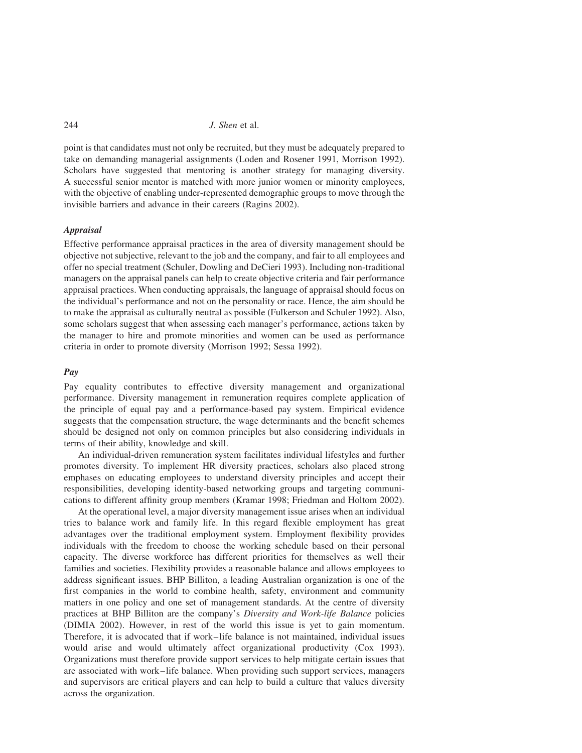point is that candidates must not only be recruited, but they must be adequately prepared to take on demanding managerial assignments (Loden and Rosener 1991, Morrison 1992). Scholars have suggested that mentoring is another strategy for managing diversity. A successful senior mentor is matched with more junior women or minority employees, with the objective of enabling under-represented demographic groups to move through the invisible barriers and advance in their careers (Ragins 2002).

#### Appraisal

Effective performance appraisal practices in the area of diversity management should be objective not subjective, relevant to the job and the company, and fair to all employees and offer no special treatment (Schuler, Dowling and DeCieri 1993). Including non-traditional managers on the appraisal panels can help to create objective criteria and fair performance appraisal practices. When conducting appraisals, the language of appraisal should focus on the individual's performance and not on the personality or race. Hence, the aim should be to make the appraisal as culturally neutral as possible (Fulkerson and Schuler 1992). Also, some scholars suggest that when assessing each manager's performance, actions taken by the manager to hire and promote minorities and women can be used as performance criteria in order to promote diversity (Morrison 1992; Sessa 1992).

# **Pay**

Pay equality contributes to effective diversity management and organizational performance. Diversity management in remuneration requires complete application of the principle of equal pay and a performance-based pay system. Empirical evidence suggests that the compensation structure, the wage determinants and the benefit schemes should be designed not only on common principles but also considering individuals in terms of their ability, knowledge and skill.

An individual-driven remuneration system facilitates individual lifestyles and further promotes diversity. To implement HR diversity practices, scholars also placed strong emphases on educating employees to understand diversity principles and accept their responsibilities, developing identity-based networking groups and targeting communications to different affinity group members (Kramar 1998; Friedman and Holtom 2002).

At the operational level, a major diversity management issue arises when an individual tries to balance work and family life. In this regard flexible employment has great advantages over the traditional employment system. Employment flexibility provides individuals with the freedom to choose the working schedule based on their personal capacity. The diverse workforce has different priorities for themselves as well their families and societies. Flexibility provides a reasonable balance and allows employees to address significant issues. BHP Billiton, a leading Australian organization is one of the first companies in the world to combine health, safety, environment and community matters in one policy and one set of management standards. At the centre of diversity practices at BHP Billiton are the company's Diversity and Work-life Balance policies (DIMIA 2002). However, in rest of the world this issue is yet to gain momentum. Therefore, it is advocated that if work–life balance is not maintained, individual issues would arise and would ultimately affect organizational productivity (Cox 1993). Organizations must therefore provide support services to help mitigate certain issues that are associated with work–life balance. When providing such support services, managers and supervisors are critical players and can help to build a culture that values diversity across the organization.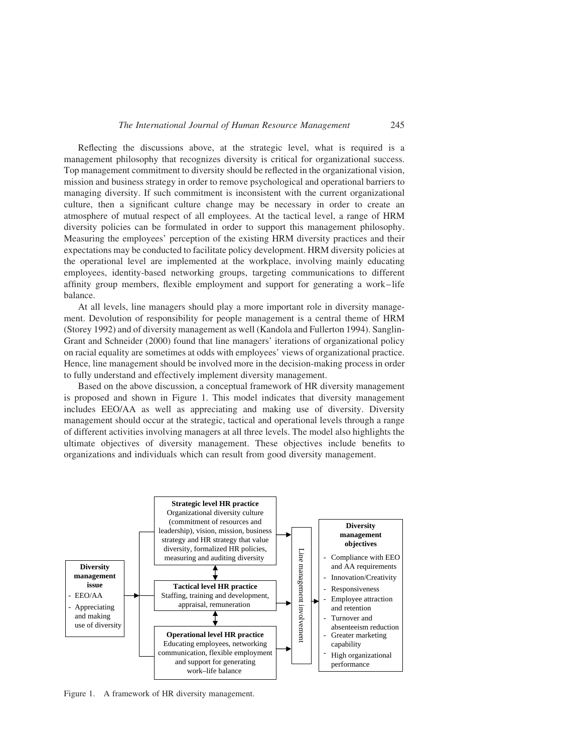Reflecting the discussions above, at the strategic level, what is required is a management philosophy that recognizes diversity is critical for organizational success. Top management commitment to diversity should be reflected in the organizational vision, mission and business strategy in order to remove psychological and operational barriers to managing diversity. If such commitment is inconsistent with the current organizational culture, then a significant culture change may be necessary in order to create an atmosphere of mutual respect of all employees. At the tactical level, a range of HRM diversity policies can be formulated in order to support this management philosophy. Measuring the employees' perception of the existing HRM diversity practices and their expectations may be conducted to facilitate policy development. HRM diversity policies at the operational level are implemented at the workplace, involving mainly educating employees, identity-based networking groups, targeting communications to different affinity group members, flexible employment and support for generating a work–life balance.

At all levels, line managers should play a more important role in diversity management. Devolution of responsibility for people management is a central theme of HRM (Storey 1992) and of diversity management as well (Kandola and Fullerton 1994). Sanglin-Grant and Schneider (2000) found that line managers' iterations of organizational policy on racial equality are sometimes at odds with employees' views of organizational practice. Hence, line management should be involved more in the decision-making process in order to fully understand and effectively implement diversity management.

Based on the above discussion, a conceptual framework of HR diversity management is proposed and shown in Figure 1. This model indicates that diversity management includes EEO/AA as well as appreciating and making use of diversity. Diversity management should occur at the strategic, tactical and operational levels through a range of different activities involving managers at all three levels. The model also highlights the ultimate objectives of diversity management. These objectives include benefits to organizations and individuals which can result from good diversity management.



Figure 1. A framework of HR diversity management.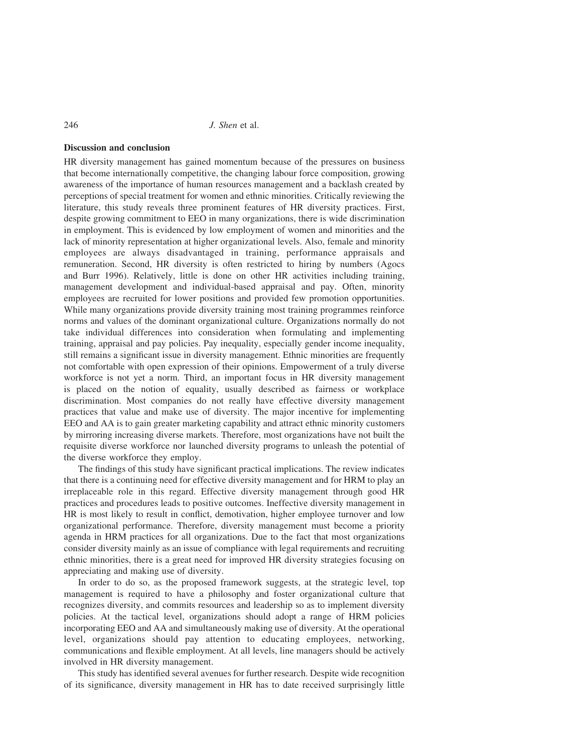#### Discussion and conclusion

HR diversity management has gained momentum because of the pressures on business that become internationally competitive, the changing labour force composition, growing awareness of the importance of human resources management and a backlash created by perceptions of special treatment for women and ethnic minorities. Critically reviewing the literature, this study reveals three prominent features of HR diversity practices. First, despite growing commitment to EEO in many organizations, there is wide discrimination in employment. This is evidenced by low employment of women and minorities and the lack of minority representation at higher organizational levels. Also, female and minority employees are always disadvantaged in training, performance appraisals and remuneration. Second, HR diversity is often restricted to hiring by numbers (Agocs and Burr 1996). Relatively, little is done on other HR activities including training, management development and individual-based appraisal and pay. Often, minority employees are recruited for lower positions and provided few promotion opportunities. While many organizations provide diversity training most training programmes reinforce norms and values of the dominant organizational culture. Organizations normally do not take individual differences into consideration when formulating and implementing training, appraisal and pay policies. Pay inequality, especially gender income inequality, still remains a significant issue in diversity management. Ethnic minorities are frequently not comfortable with open expression of their opinions. Empowerment of a truly diverse workforce is not yet a norm. Third, an important focus in HR diversity management is placed on the notion of equality, usually described as fairness or workplace discrimination. Most companies do not really have effective diversity management practices that value and make use of diversity. The major incentive for implementing EEO and AA is to gain greater marketing capability and attract ethnic minority customers by mirroring increasing diverse markets. Therefore, most organizations have not built the requisite diverse workforce nor launched diversity programs to unleash the potential of the diverse workforce they employ.

The findings of this study have significant practical implications. The review indicates that there is a continuing need for effective diversity management and for HRM to play an irreplaceable role in this regard. Effective diversity management through good HR practices and procedures leads to positive outcomes. Ineffective diversity management in HR is most likely to result in conflict, demotivation, higher employee turnover and low organizational performance. Therefore, diversity management must become a priority agenda in HRM practices for all organizations. Due to the fact that most organizations consider diversity mainly as an issue of compliance with legal requirements and recruiting ethnic minorities, there is a great need for improved HR diversity strategies focusing on appreciating and making use of diversity.

In order to do so, as the proposed framework suggests, at the strategic level, top management is required to have a philosophy and foster organizational culture that recognizes diversity, and commits resources and leadership so as to implement diversity policies. At the tactical level, organizations should adopt a range of HRM policies incorporating EEO and AA and simultaneously making use of diversity. At the operational level, organizations should pay attention to educating employees, networking, communications and flexible employment. At all levels, line managers should be actively involved in HR diversity management.

This study has identified several avenues for further research. Despite wide recognition of its significance, diversity management in HR has to date received surprisingly little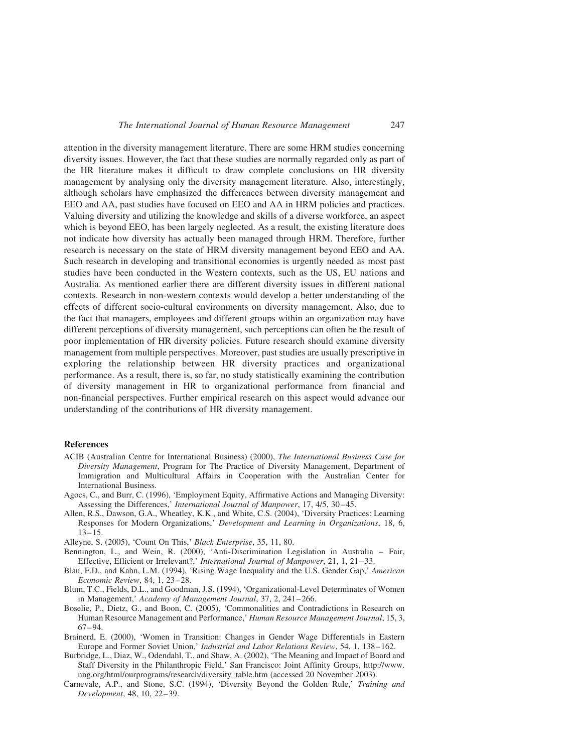attention in the diversity management literature. There are some HRM studies concerning diversity issues. However, the fact that these studies are normally regarded only as part of the HR literature makes it difficult to draw complete conclusions on HR diversity management by analysing only the diversity management literature. Also, interestingly, although scholars have emphasized the differences between diversity management and EEO and AA, past studies have focused on EEO and AA in HRM policies and practices. Valuing diversity and utilizing the knowledge and skills of a diverse workforce, an aspect which is beyond EEO, has been largely neglected. As a result, the existing literature does not indicate how diversity has actually been managed through HRM. Therefore, further research is necessary on the state of HRM diversity management beyond EEO and AA. Such research in developing and transitional economies is urgently needed as most past studies have been conducted in the Western contexts, such as the US, EU nations and Australia. As mentioned earlier there are different diversity issues in different national contexts. Research in non-western contexts would develop a better understanding of the effects of different socio-cultural environments on diversity management. Also, due to the fact that managers, employees and different groups within an organization may have different perceptions of diversity management, such perceptions can often be the result of poor implementation of HR diversity policies. Future research should examine diversity management from multiple perspectives. Moreover, past studies are usually prescriptive in exploring the relationship between HR diversity practices and organizational performance. As a result, there is, so far, no study statistically examining the contribution of diversity management in HR to organizational performance from financial and non-financial perspectives. Further empirical research on this aspect would advance our understanding of the contributions of HR diversity management.

#### References

- ACIB (Australian Centre for International Business) (2000), The International Business Case for Diversity Management, Program for The Practice of Diversity Management, Department of Immigration and Multicultural Affairs in Cooperation with the Australian Center for International Business.
- Agocs, C., and Burr, C. (1996), 'Employment Equity, Affirmative Actions and Managing Diversity: Assessing the Differences,' International Journal of Manpower, 17, 4/5, 30–45.
- Allen, R.S., Dawson, G.A., Wheatley, K.K., and White, C.S. (2004), 'Diversity Practices: Learning Responses for Modern Organizations,' Development and Learning in Organizations, 18, 6,  $13 - 15$ .
- Alleyne, S. (2005), 'Count On This,' Black Enterprise, 35, 11, 80.
- Bennington, L., and Wein, R. (2000), 'Anti-Discrimination Legislation in Australia Fair, Effective, Efficient or Irrelevant?,' International Journal of Manpower, 21, 1, 21–33.
- Blau, F.D., and Kahn, L.M. (1994), 'Rising Wage Inequality and the U.S. Gender Gap,' American Economic Review, 84, 1, 23–28.
- Blum, T.C., Fields, D.L., and Goodman, J.S. (1994), 'Organizational-Level Determinates of Women in Management,' Academy of Management Journal, 37, 2, 241–266.
- Boselie, P., Dietz, G., and Boon, C. (2005), 'Commonalities and Contradictions in Research on Human Resource Management and Performance,' Human Resource Management Journal, 15, 3, 67–94.
- Brainerd, E. (2000), 'Women in Transition: Changes in Gender Wage Differentials in Eastern Europe and Former Soviet Union,' Industrial and Labor Relations Review, 54, 1, 138–162.
- Burbridge, L., Diaz, W., Odendahl, T., and Shaw, A. (2002), 'The Meaning and Impact of Board and Staff Diversity in the Philanthropic Field,' San Francisco: Joint Affinity Groups, http://www. nng.org/html/ourprograms/research/diversity\_table.htm (accessed 20 November 2003).
- Carnevale, A.P., and Stone, S.C. (1994), 'Diversity Beyond the Golden Rule,' Training and Development, 48, 10, 22–39.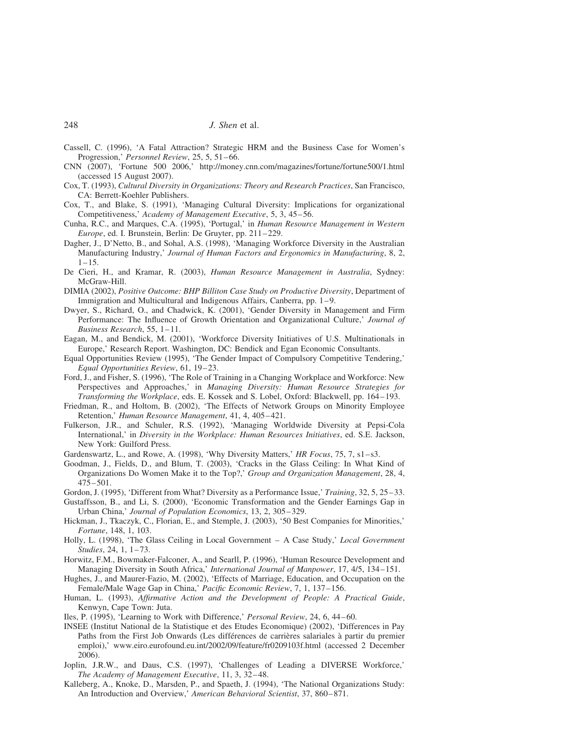- Cassell, C. (1996), 'A Fatal Attraction? Strategic HRM and the Business Case for Women's Progression,' Personnel Review, 25, 5, 51–66.
- CNN (2007), 'Fortune 500 2006,' http://money.cnn.com/magazines/fortune/fortune500/1.html (accessed 15 August 2007).
- Cox, T. (1993), Cultural Diversity in Organizations: Theory and Research Practices, San Francisco, CA: Berrett-Koehler Publishers.
- Cox, T., and Blake, S. (1991), 'Managing Cultural Diversity: Implications for organizational Competitiveness,' Academy of Management Executive, 5, 3, 45–56.
- Cunha, R.C., and Marques, C.A. (1995), 'Portugal,' in Human Resource Management in Western Europe, ed. I. Brunstein, Berlin: De Gruyter, pp. 211–229.
- Dagher, J., D'Netto, B., and Sohal, A.S. (1998), 'Managing Workforce Diversity in the Australian Manufacturing Industry,' Journal of Human Factors and Ergonomics in Manufacturing, 8, 2,  $1 - 15$ .
- De Cieri, H., and Kramar, R. (2003), Human Resource Management in Australia, Sydney: McGraw-Hill.
- DIMIA (2002), Positive Outcome: BHP Billiton Case Study on Productive Diversity, Department of Immigration and Multicultural and Indigenous Affairs, Canberra, pp. 1–9.
- Dwyer, S., Richard, O., and Chadwick, K. (2001), 'Gender Diversity in Management and Firm Performance: The Influence of Growth Orientation and Organizational Culture,' Journal of Business Research, 55, 1–11.
- Eagan, M., and Bendick, M. (2001), 'Workforce Diversity Initiatives of U.S. Multinationals in Europe,' Research Report. Washington, DC: Bendick and Egan Economic Consultants.
- Equal Opportunities Review (1995), 'The Gender Impact of Compulsory Competitive Tendering,' Equal Opportunities Review, 61, 19–23.
- Ford, J., and Fisher, S. (1996), 'The Role of Training in a Changing Workplace and Workforce: New Perspectives and Approaches,' in Managing Diversity: Human Resource Strategies for Transforming the Workplace, eds. E. Kossek and S. Lobel, Oxford: Blackwell, pp. 164–193.
- Friedman, R., and Holtom, B. (2002), 'The Effects of Network Groups on Minority Employee Retention,' Human Resource Management, 41, 4, 405–421.
- Fulkerson, J.R., and Schuler, R.S. (1992), 'Managing Worldwide Diversity at Pepsi-Cola International,' in Diversity in the Workplace: Human Resources Initiatives, ed. S.E. Jackson, New York: Guilford Press.

Gardenswartz, L., and Rowe, A. (1998), 'Why Diversity Matters,' HR Focus, 75, 7, s1-s3.

Goodman, J., Fields, D., and Blum, T. (2003), 'Cracks in the Glass Ceiling: In What Kind of Organizations Do Women Make it to the Top?,' Group and Organization Management, 28, 4, 475–501.

Gordon, J. (1995), 'Different from What? Diversity as a Performance Issue,' Training, 32, 5, 25–33.

- Gustaffsson, B., and Li, S. (2000), 'Economic Transformation and the Gender Earnings Gap in Urban China,' Journal of Population Economics, 13, 2, 305–329.
- Hickman, J., Tkaczyk, C., Florian, E., and Stemple, J. (2003), '50 Best Companies for Minorities,' Fortune, 148, 1, 103.
- Holly, L. (1998), 'The Glass Ceiling in Local Government A Case Study,' Local Government Studies, 24, 1, 1–73.
- Horwitz, F.M., Bowmaker-Falconer, A., and Searll, P. (1996), 'Human Resource Development and Managing Diversity in South Africa,' International Journal of Manpower, 17, 4/5, 134–151.
- Hughes, J., and Maurer-Fazio, M. (2002), 'Effects of Marriage, Education, and Occupation on the Female/Male Wage Gap in China,' Pacific Economic Review, 7, 1, 137–156.
- Human, L. (1993), Affirmative Action and the Development of People: A Practical Guide, Kenwyn, Cape Town: Juta.
- Iles, P. (1995), 'Learning to Work with Difference,' Personal Review, 24, 6, 44–60.
- INSEE (Institut National de la Statistique et des Etudes Economique) (2002), 'Differences in Pay Paths from the First Job Onwards (Les différences de carrières salariales à partir du premier emploi),' www.eiro.eurofound.eu.int/2002/09/feature/fr0209103f.html (accessed 2 December 2006).
- Joplin, J.R.W., and Daus, C.S. (1997), 'Challenges of Leading a DIVERSE Workforce,' The Academy of Management Executive, 11, 3, 32–48.
- Kalleberg, A., Knoke, D., Marsden, P., and Spaeth, J. (1994), 'The National Organizations Study: An Introduction and Overview,' American Behavioral Scientist, 37, 860–871.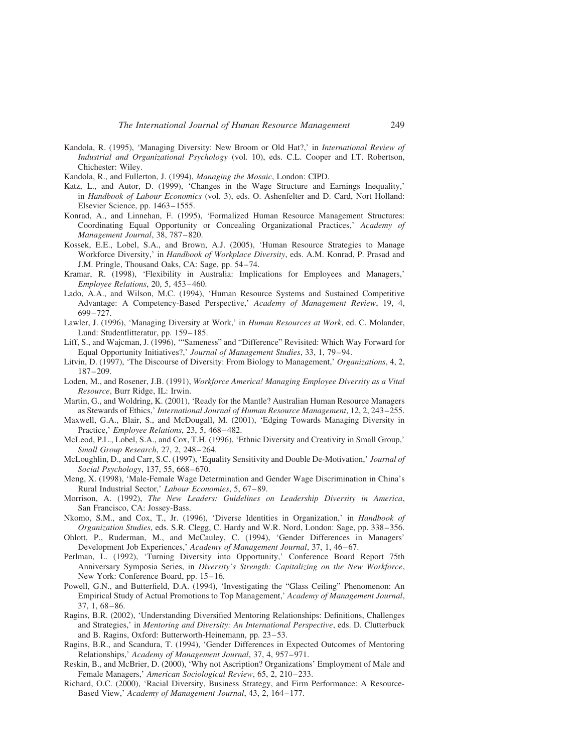Kandola, R. (1995), 'Managing Diversity: New Broom or Old Hat?,' in International Review of Industrial and Organizational Psychology (vol. 10), eds. C.L. Cooper and I.T. Robertson, Chichester: Wiley.

Kandola, R., and Fullerton, J. (1994), Managing the Mosaic, London: CIPD.

- Katz, L., and Autor, D. (1999), 'Changes in the Wage Structure and Earnings Inequality,' in Handbook of Labour Economics (vol. 3), eds. O. Ashenfelter and D. Card, Nort Holland: Elsevier Science, pp. 1463–1555.
- Konrad, A., and Linnehan, F. (1995), 'Formalized Human Resource Management Structures: Coordinating Equal Opportunity or Concealing Organizational Practices,' Academy of Management Journal, 38, 787–820.
- Kossek, E.E., Lobel, S.A., and Brown, A.J. (2005), 'Human Resource Strategies to Manage Workforce Diversity,' in Handbook of Workplace Diversity, eds. A.M. Konrad, P. Prasad and J.M. Pringle, Thousand Oaks, CA: Sage, pp. 54–74.
- Kramar, R. (1998), 'Flexibility in Australia: Implications for Employees and Managers,' Employee Relations, 20, 5, 453–460.
- Lado, A.A., and Wilson, M.C. (1994), 'Human Resource Systems and Sustained Competitive Advantage: A Competency-Based Perspective,' Academy of Management Review, 19, 4, 699–727.
- Lawler, J. (1996), 'Managing Diversity at Work,' in Human Resources at Work, ed. C. Molander, Lund: Studentlitteratur, pp. 159–185.
- Liff, S., and Wajcman, J. (1996), '"Sameness" and "Difference" Revisited: Which Way Forward for Equal Opportunity Initiatives?,' Journal of Management Studies, 33, 1, 79–94.
- Litvin, D. (1997), 'The Discourse of Diversity: From Biology to Management,' Organizations, 4, 2, 187–209.
- Loden, M., and Rosener, J.B. (1991), Workforce America! Managing Employee Diversity as a Vital Resource, Burr Ridge, IL: Irwin.
- Martin, G., and Woldring, K. (2001), 'Ready for the Mantle? Australian Human Resource Managers as Stewards of Ethics,' International Journal of Human Resource Management, 12, 2, 243–255.
- Maxwell, G.A., Blair, S., and McDougall, M. (2001), 'Edging Towards Managing Diversity in Practice,' Employee Relations, 23, 5, 468–482.
- McLeod, P.L., Lobel, S.A., and Cox, T.H. (1996), 'Ethnic Diversity and Creativity in Small Group,' Small Group Research, 27, 2, 248–264.
- McLoughlin, D., and Carr, S.C. (1997), 'Equality Sensitivity and Double De-Motivation,' Journal of Social Psychology, 137, 55, 668–670.
- Meng, X. (1998), 'Male-Female Wage Determination and Gender Wage Discrimination in China's Rural Industrial Sector,' Labour Economies, 5, 67–89.
- Morrison, A. (1992), The New Leaders: Guidelines on Leadership Diversity in America, San Francisco, CA: Jossey-Bass.
- Nkomo, S.M., and Cox, T., Jr. (1996), 'Diverse Identities in Organization,' in Handbook of Organization Studies, eds. S.R. Clegg, C. Hardy and W.R. Nord, London: Sage, pp. 338–356.
- Ohlott, P., Ruderman, M., and McCauley, C. (1994), 'Gender Differences in Managers' Development Job Experiences,' Academy of Management Journal, 37, 1, 46–67.
- Perlman, L. (1992), 'Turning Diversity into Opportunity,' Conference Board Report 75th Anniversary Symposia Series, in Diversity's Strength: Capitalizing on the New Workforce, New York: Conference Board, pp. 15–16.
- Powell, G.N., and Butterfield, D.A. (1994), 'Investigating the "Glass Ceiling" Phenomenon: An Empirical Study of Actual Promotions to Top Management,' Academy of Management Journal, 37, 1, 68–86.
- Ragins, B.R. (2002), 'Understanding Diversified Mentoring Relationships: Definitions, Challenges and Strategies,' in Mentoring and Diversity: An International Perspective, eds. D. Clutterbuck and B. Ragins, Oxford: Butterworth-Heinemann, pp. 23–53.
- Ragins, B.R., and Scandura, T. (1994), 'Gender Differences in Expected Outcomes of Mentoring Relationships,' Academy of Management Journal, 37, 4, 957–971.
- Reskin, B., and McBrier, D. (2000), 'Why not Ascription? Organizations' Employment of Male and Female Managers,' American Sociological Review, 65, 2, 210–233.
- Richard, O.C. (2000), 'Racial Diversity, Business Strategy, and Firm Performance: A Resource-Based View,' Academy of Management Journal, 43, 2, 164–177.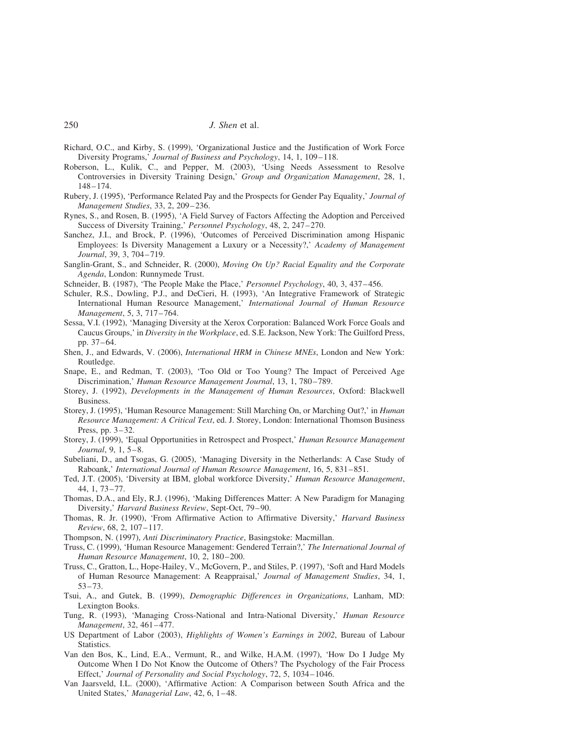- Richard, O.C., and Kirby, S. (1999), 'Organizational Justice and the Justification of Work Force Diversity Programs,' Journal of Business and Psychology, 14, 1, 109–118.
- Roberson, L., Kulik, C., and Pepper, M. (2003), 'Using Needs Assessment to Resolve Controversies in Diversity Training Design,' Group and Organization Management, 28, 1, 148–174.
- Rubery, J. (1995), 'Performance Related Pay and the Prospects for Gender Pay Equality,' Journal of Management Studies, 33, 2, 209–236.
- Rynes, S., and Rosen, B. (1995), 'A Field Survey of Factors Affecting the Adoption and Perceived Success of Diversity Training,' Personnel Psychology, 48, 2, 247–270.
- Sanchez, J.I., and Brock, P. (1996), 'Outcomes of Perceived Discrimination among Hispanic Employees: Is Diversity Management a Luxury or a Necessity?,' Academy of Management Journal, 39, 3, 704–719.
- Sanglin-Grant, S., and Schneider, R. (2000), Moving On Up? Racial Equality and the Corporate Agenda, London: Runnymede Trust.
- Schneider, B. (1987), 'The People Make the Place,' *Personnel Psychology*, 40, 3, 437–456.
- Schuler, R.S., Dowling, P.J., and DeCieri, H. (1993), 'An Integrative Framework of Strategic International Human Resource Management,' International Journal of Human Resource Management, 5, 3, 717–764.
- Sessa, V.I. (1992), 'Managing Diversity at the Xerox Corporation: Balanced Work Force Goals and Caucus Groups,' in Diversity in the Workplace, ed. S.E. Jackson, New York: The Guilford Press, pp. 37–64.
- Shen, J., and Edwards, V. (2006), *International HRM in Chinese MNEs*, London and New York: Routledge.
- Snape, E., and Redman, T. (2003), 'Too Old or Too Young? The Impact of Perceived Age Discrimination,' Human Resource Management Journal, 13, 1, 780–789.
- Storey, J. (1992), Developments in the Management of Human Resources, Oxford: Blackwell Business.
- Storey, J. (1995), 'Human Resource Management: Still Marching On, or Marching Out?,' in *Human* Resource Management: A Critical Text, ed. J. Storey, London: International Thomson Business Press, pp. 3–32.
- Storey, J. (1999), 'Equal Opportunities in Retrospect and Prospect,' Human Resource Management Journal, 9, 1, 5–8.
- Subeliani, D., and Tsogas, G. (2005), 'Managing Diversity in the Netherlands: A Case Study of Raboank,' International Journal of Human Resource Management, 16, 5, 831–851.
- Ted, J.T. (2005), 'Diversity at IBM, global workforce Diversity,' Human Resource Management, 44, 1, 73–77.
- Thomas, D.A., and Ely, R.J. (1996), 'Making Differences Matter: A New Paradigm for Managing Diversity,' Harvard Business Review, Sept-Oct, 79–90.
- Thomas, R. Jr. (1990), 'From Affirmative Action to Affirmative Diversity,' Harvard Business Review, 68, 2, 107–117.
- Thompson, N. (1997), Anti Discriminatory Practice, Basingstoke: Macmillan.
- Truss, C. (1999), 'Human Resource Management: Gendered Terrain?,' The International Journal of Human Resource Management, 10, 2, 180–200.
- Truss, C., Gratton, L., Hope-Hailey, V., McGovern, P., and Stiles, P. (1997), 'Soft and Hard Models of Human Resource Management: A Reappraisal,' Journal of Management Studies, 34, 1, 53–73.
- Tsui, A., and Gutek, B. (1999), Demographic Differences in Organizations, Lanham, MD: Lexington Books.
- Tung, R. (1993), 'Managing Cross-National and Intra-National Diversity,' Human Resource Management, 32, 461–477.
- US Department of Labor (2003), Highlights of Women's Earnings in 2002, Bureau of Labour Statistics.
- Van den Bos, K., Lind, E.A., Vermunt, R., and Wilke, H.A.M. (1997), 'How Do I Judge My Outcome When I Do Not Know the Outcome of Others? The Psychology of the Fair Process Effect,' Journal of Personality and Social Psychology, 72, 5, 1034–1046.
- Van Jaarsveld, I.L. (2000), 'Affirmative Action: A Comparison between South Africa and the United States,' Managerial Law, 42, 6, 1–48.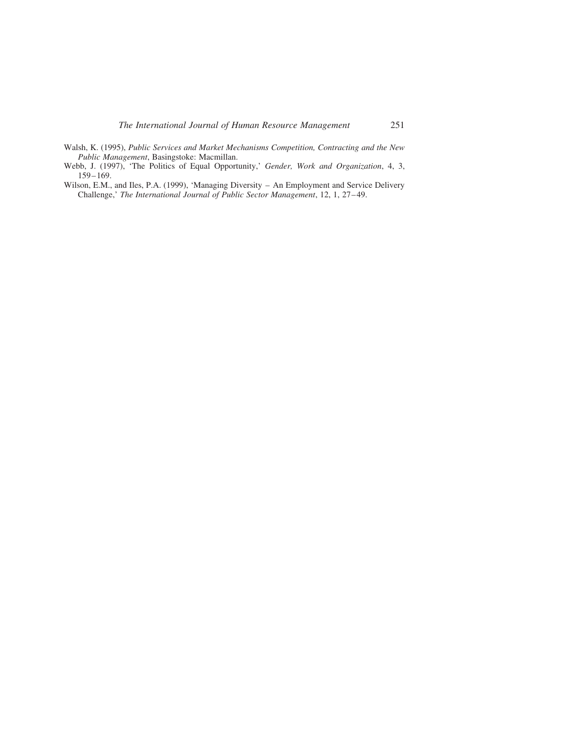Walsh, K. (1995), Public Services and Market Mechanisms Competition, Contracting and the New Public Management, Basingstoke: Macmillan.

Webb, J. (1997), 'The Politics of Equal Opportunity,' Gender, Work and Organization, 4, 3, 159–169.

Wilson, E.M., and Iles, P.A. (1999), 'Managing Diversity – An Employment and Service Delivery Challenge,' The International Journal of Public Sector Management, 12, 1, 27–49.